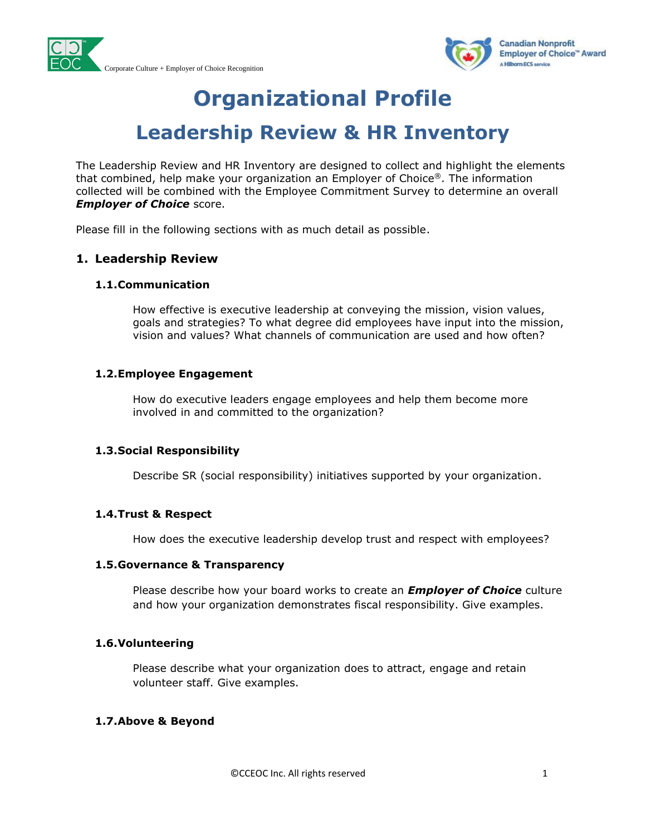



# **Organizational Profile**

## **Leadership Review & HR Inventory**

The Leadership Review and HR Inventory are designed to collect and highlight the elements that combined, help make your organization an Employer of Choice®. The information collected will be combined with the Employee Commitment Survey to determine an overall *Employer of Choice* score.

Please fill in the following sections with as much detail as possible.

## **1. Leadership Review**

#### **1.1.Communication**

How effective is executive leadership at conveying the mission, vision values, goals and strategies? To what degree did employees have input into the mission, vision and values? What channels of communication are used and how often?

## **1.2.Employee Engagement**

How do executive leaders engage employees and help them become more involved in and committed to the organization?

#### **1.3.Social Responsibility**

Describe SR (social responsibility) initiatives supported by your organization.

## **1.4.Trust & Respect**

How does the executive leadership develop trust and respect with employees?

#### **1.5.Governance & Transparency**

Please describe how your board works to create an *Employer of Choice* culture and how your organization demonstrates fiscal responsibility. Give examples.

## **1.6.Volunteering**

Please describe what your organization does to attract, engage and retain volunteer staff. Give examples.

## **1.7.Above & Beyond**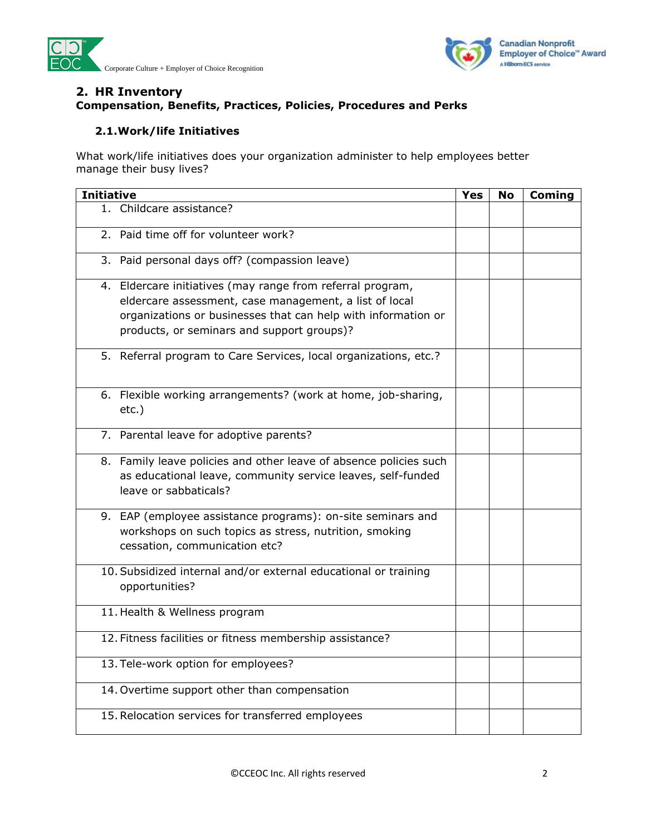



## **2. HR Inventory Compensation, Benefits, Practices, Policies, Procedures and Perks**

## **2.1.Work/life Initiatives**

What work/life initiatives does your organization administer to help employees better manage their busy lives?

| <b>Initiative</b>                                                                                                                                                                                                                   | Yes | No | Coming |
|-------------------------------------------------------------------------------------------------------------------------------------------------------------------------------------------------------------------------------------|-----|----|--------|
| 1. Childcare assistance?                                                                                                                                                                                                            |     |    |        |
| 2. Paid time off for volunteer work?                                                                                                                                                                                                |     |    |        |
| 3. Paid personal days off? (compassion leave)                                                                                                                                                                                       |     |    |        |
| 4. Eldercare initiatives (may range from referral program,<br>eldercare assessment, case management, a list of local<br>organizations or businesses that can help with information or<br>products, or seminars and support groups)? |     |    |        |
| 5. Referral program to Care Services, local organizations, etc.?                                                                                                                                                                    |     |    |        |
| 6. Flexible working arrangements? (work at home, job-sharing,<br>$etc.$ )                                                                                                                                                           |     |    |        |
| 7. Parental leave for adoptive parents?                                                                                                                                                                                             |     |    |        |
| 8. Family leave policies and other leave of absence policies such<br>as educational leave, community service leaves, self-funded<br>leave or sabbaticals?                                                                           |     |    |        |
| 9. EAP (employee assistance programs): on-site seminars and<br>workshops on such topics as stress, nutrition, smoking<br>cessation, communication etc?                                                                              |     |    |        |
| 10. Subsidized internal and/or external educational or training<br>opportunities?                                                                                                                                                   |     |    |        |
| 11. Health & Wellness program                                                                                                                                                                                                       |     |    |        |
| 12. Fitness facilities or fitness membership assistance?                                                                                                                                                                            |     |    |        |
| 13. Tele-work option for employees?                                                                                                                                                                                                 |     |    |        |
| 14. Overtime support other than compensation                                                                                                                                                                                        |     |    |        |
| 15. Relocation services for transferred employees                                                                                                                                                                                   |     |    |        |